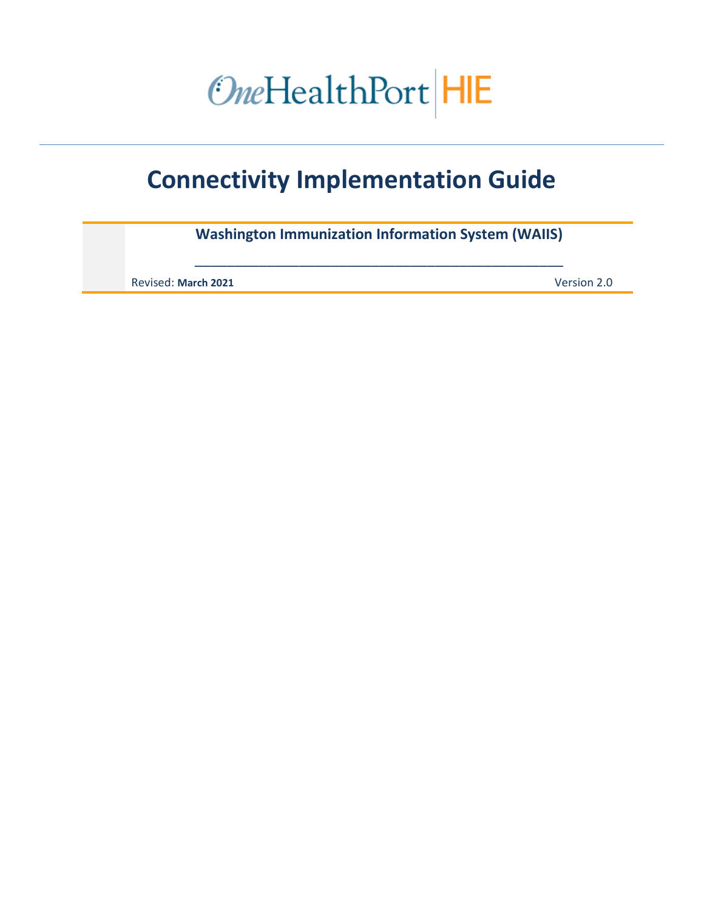# OneHealthPort HIE

# **Connectivity Implementation Guide**

**Washington Immunization Information System (WAIIS)**

\_\_\_\_\_\_\_\_\_\_\_\_\_\_\_\_\_\_\_\_\_\_\_\_\_\_\_\_\_\_\_\_\_\_\_\_\_\_\_\_\_\_\_\_\_\_

Revised: **March 2021** Version 2.0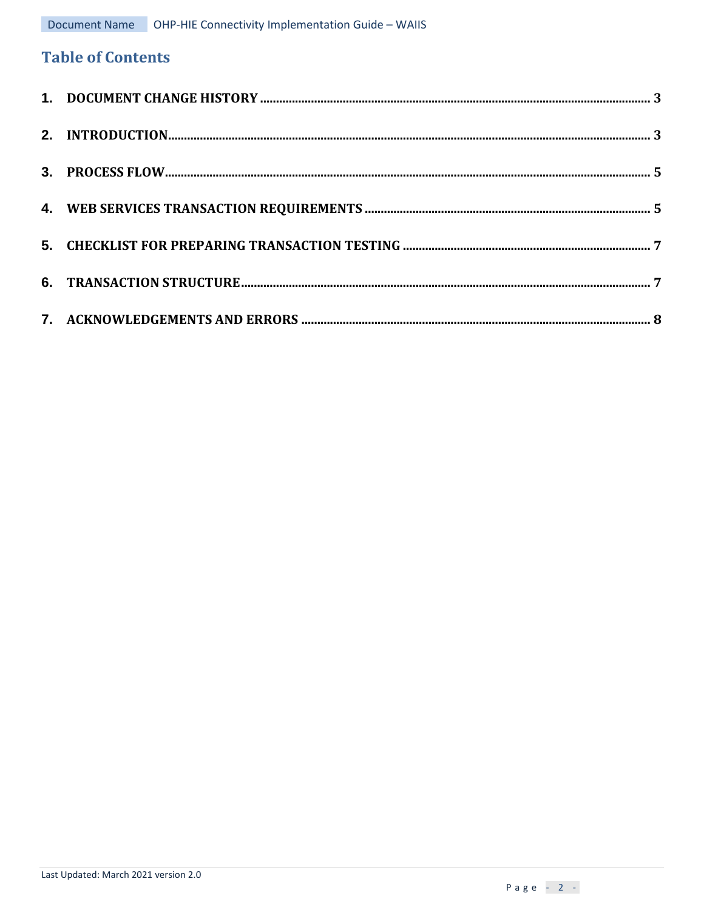# **Table of Contents**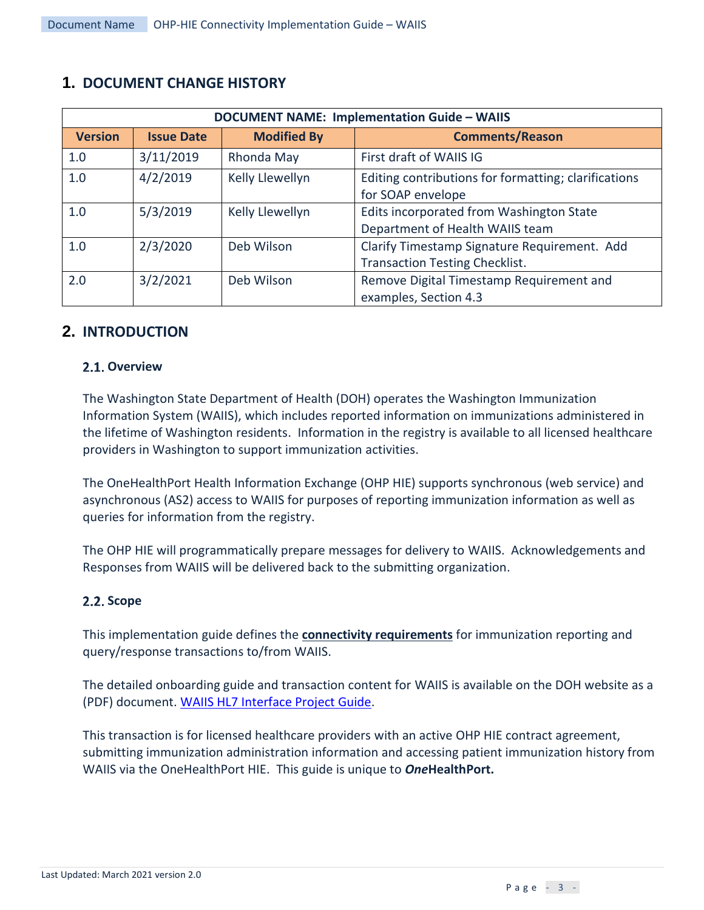| <b>DOCUMENT NAME: Implementation Guide - WAIIS</b> |                   |                    |                                                                                       |  |  |
|----------------------------------------------------|-------------------|--------------------|---------------------------------------------------------------------------------------|--|--|
| <b>Version</b>                                     | <b>Issue Date</b> | <b>Modified By</b> | <b>Comments/Reason</b>                                                                |  |  |
| 1.0                                                | 3/11/2019         | Rhonda May         | First draft of WAIIS IG                                                               |  |  |
| 1.0                                                | 4/2/2019          | Kelly Llewellyn    | Editing contributions for formatting; clarifications<br>for SOAP envelope             |  |  |
| 1.0                                                | 5/3/2019          | Kelly Llewellyn    | Edits incorporated from Washington State<br>Department of Health WAIIS team           |  |  |
| 1.0                                                | 2/3/2020          | Deb Wilson         | Clarify Timestamp Signature Requirement. Add<br><b>Transaction Testing Checklist.</b> |  |  |
| 2.0                                                | 3/2/2021          | Deb Wilson         | Remove Digital Timestamp Requirement and<br>examples, Section 4.3                     |  |  |

# <span id="page-2-0"></span>**1. DOCUMENT CHANGE HISTORY**

# <span id="page-2-1"></span>**2. INTRODUCTION**

#### 2.1. Overview

The Washington State Department of Health (DOH) operates the Washington Immunization Information System (WAIIS), which includes reported information on immunizations administered in the lifetime of Washington residents. Information in the registry is available to all licensed healthcare providers in Washington to support immunization activities.

The OneHealthPort Health Information Exchange (OHP HIE) supports synchronous (web service) and asynchronous (AS2) access to WAIIS for purposes of reporting immunization information as well as queries for information from the registry.

The OHP HIE will programmatically prepare messages for delivery to WAIIS. Acknowledgements and Responses from WAIIS will be delivered back to the submitting organization.

#### **2.2. Scope**

This implementation guide defines the **connectivity requirements** for immunization reporting and query/response transactions to/from WAIIS.

The detailed onboarding guide and transaction content for WAIIS is available on the DOH website as a (PDF) document[. WAIIS HL7 Interface Project Guide.](https://www.doh.wa.gov/Portals/1/Documents/8200/348-429%20HL7%20WAIIS%20Project%20Guide%20v3.3.pdf)

This transaction is for licensed healthcare providers with an active OHP HIE contract agreement, submitting immunization administration information and accessing patient immunization history from WAIIS via the OneHealthPort HIE. This guide is unique to *One***HealthPort.**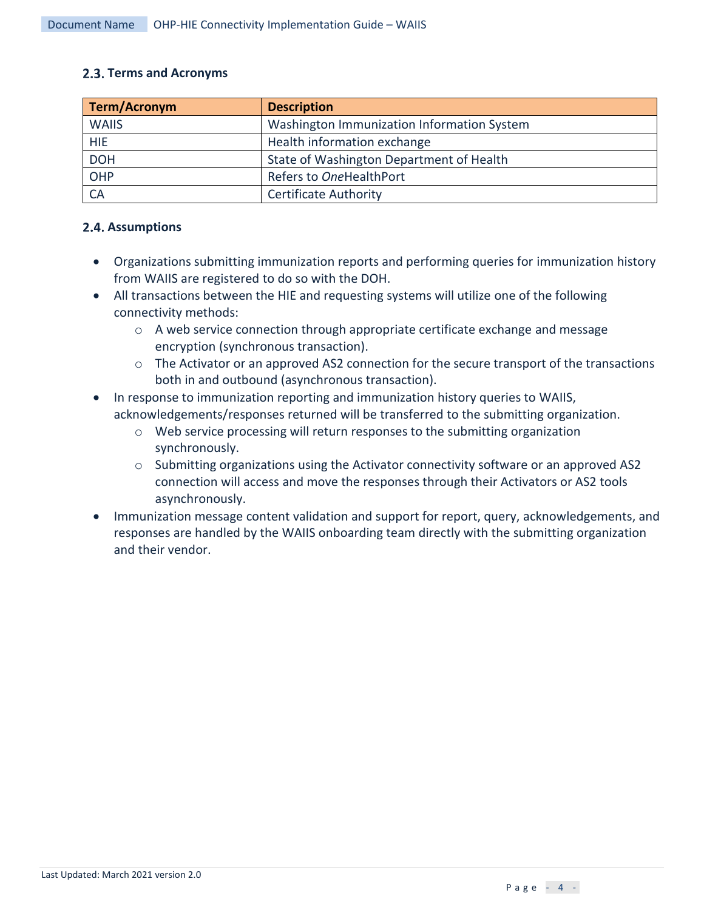#### **Terms and Acronyms**

| <b>Term/Acronym</b> | <b>Description</b>                         |
|---------------------|--------------------------------------------|
| <b>WAIIS</b>        | Washington Immunization Information System |
| <b>HIE</b>          | Health information exchange                |
| <b>DOH</b>          | State of Washington Department of Health   |
| OHP                 | Refers to OneHealthPort                    |
| <b>CA</b>           | <b>Certificate Authority</b>               |

#### **2.4. Assumptions**

- Organizations submitting immunization reports and performing queries for immunization history from WAIIS are registered to do so with the DOH.
- All transactions between the HIE and requesting systems will utilize one of the following connectivity methods:
	- $\circ$  A web service connection through appropriate certificate exchange and message encryption (synchronous transaction).
	- o The Activator or an approved AS2 connection for the secure transport of the transactions both in and outbound (asynchronous transaction).
- In response to immunization reporting and immunization history queries to WAIIS, acknowledgements/responses returned will be transferred to the submitting organization.
	- $\circ$  Web service processing will return responses to the submitting organization synchronously.
	- o Submitting organizations using the Activator connectivity software or an approved AS2 connection will access and move the responses through their Activators or AS2 tools asynchronously.
- Immunization message content validation and support for report, query, acknowledgements, and responses are handled by the WAIIS onboarding team directly with the submitting organization and their vendor.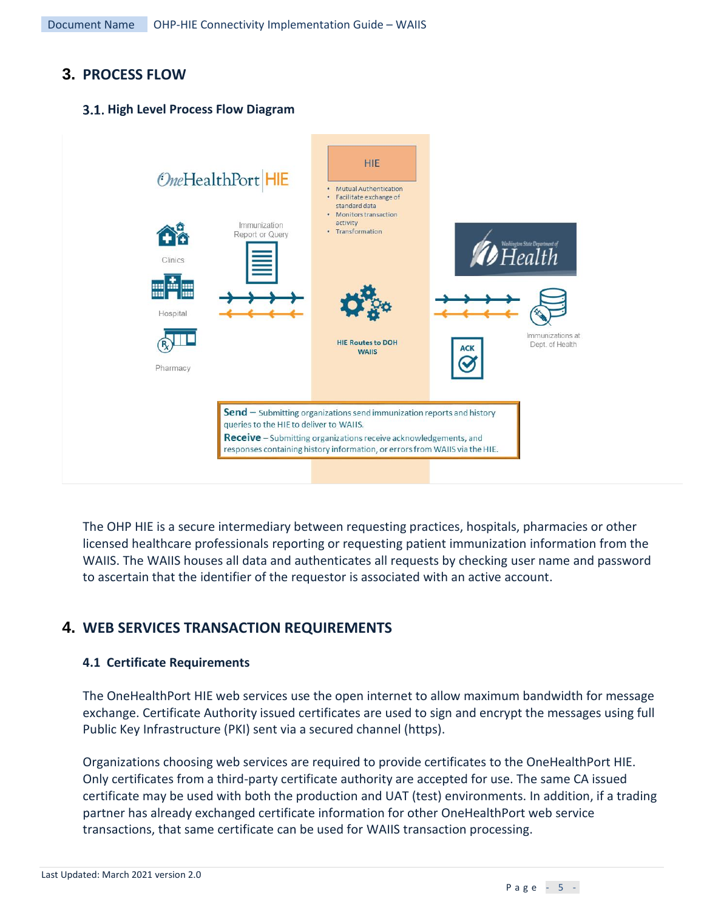# <span id="page-4-0"></span>**3. PROCESS FLOW**

#### **High Level Process Flow Diagram**



The OHP HIE is a secure intermediary between requesting practices, hospitals, pharmacies or other licensed healthcare professionals reporting or requesting patient immunization information from the WAIIS. The WAIIS houses all data and authenticates all requests by checking user name and password to ascertain that the identifier of the requestor is associated with an active account.

# <span id="page-4-1"></span>**4. WEB SERVICES TRANSACTION REQUIREMENTS**

#### **4.1 Certificate Requirements**

The OneHealthPort HIE web services use the open internet to allow maximum bandwidth for message exchange. Certificate Authority issued certificates are used to sign and encrypt the messages using full Public Key Infrastructure (PKI) sent via a secured channel (https).

Organizations choosing web services are required to provide certificates to the OneHealthPort HIE. Only certificates from a third-party certificate authority are accepted for use. The same CA issued certificate may be used with both the production and UAT (test) environments. In addition, if a trading partner has already exchanged certificate information for other OneHealthPort web service transactions, that same certificate can be used for WAIIS transaction processing.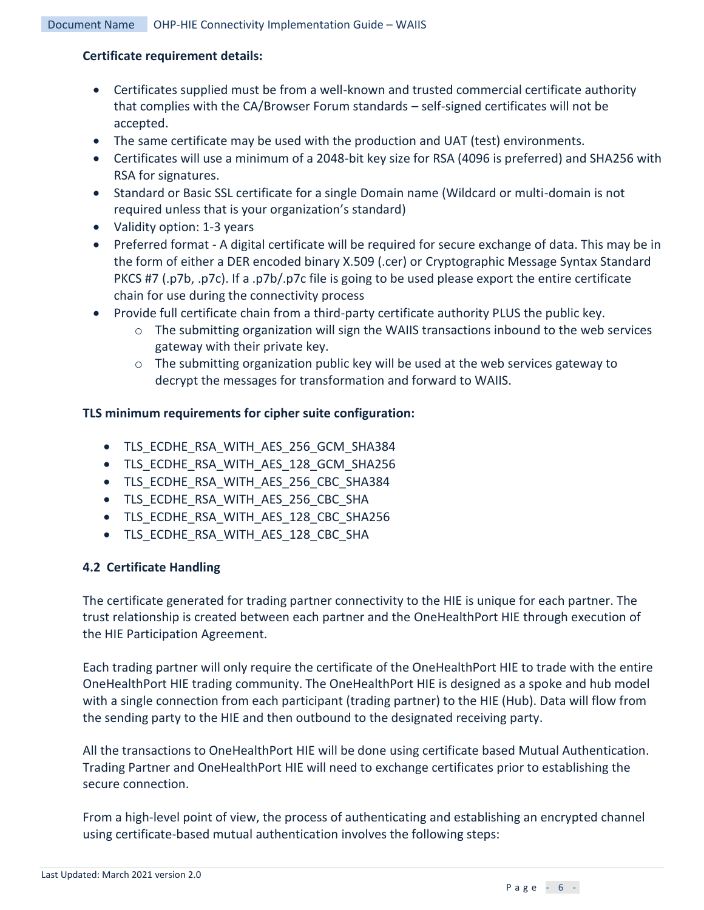#### **Certificate requirement details:**

- Certificates supplied must be from a well-known and trusted commercial certificate authority that complies with the CA/Browser Forum standards – self-signed certificates will not be accepted.
- The same certificate may be used with the production and UAT (test) environments.
- Certificates will use a minimum of a 2048-bit key size for RSA (4096 is preferred) and SHA256 with RSA for signatures.
- Standard or Basic SSL certificate for a single Domain name (Wildcard or multi-domain is not required unless that is your organization's standard)
- Validity option: 1-3 years
- Preferred format A digital certificate will be required for secure exchange of data. This may be in the form of either a DER encoded binary X.509 (.cer) or Cryptographic Message Syntax Standard PKCS #7 (.p7b, .p7c). If a .p7b/.p7c file is going to be used please export the entire certificate chain for use during the connectivity process
- Provide full certificate chain from a third-party certificate authority PLUS the public key.
	- $\circ$  The submitting organization will sign the WAIIS transactions inbound to the web services gateway with their private key.
	- $\circ$  The submitting organization public key will be used at the web services gateway to decrypt the messages for transformation and forward to WAIIS.

#### **TLS minimum requirements for cipher suite configuration:**

- TLS\_ECDHE\_RSA\_WITH\_AES\_256\_GCM\_SHA384
- TLS ECDHE\_RSA\_WITH\_AES\_128\_GCM\_SHA256
- TLS\_ECDHE\_RSA\_WITH\_AES\_256\_CBC\_SHA384
- TLS\_ECDHE\_RSA\_WITH\_AES\_256\_CBC\_SHA
- TLS ECDHE RSA\_WITH\_AES\_128\_CBC\_SHA256
- TLS\_ECDHE\_RSA\_WITH\_AES\_128\_CBC\_SHA

#### **4.2 Certificate Handling**

The certificate generated for trading partner connectivity to the HIE is unique for each partner. The trust relationship is created between each partner and the OneHealthPort HIE through execution of the HIE Participation Agreement.

Each trading partner will only require the certificate of the OneHealthPort HIE to trade with the entire OneHealthPort HIE trading community. The OneHealthPort HIE is designed as a spoke and hub model with a single connection from each participant (trading partner) to the HIE (Hub). Data will flow from the sending party to the HIE and then outbound to the designated receiving party.

All the transactions to OneHealthPort HIE will be done using certificate based Mutual Authentication. Trading Partner and OneHealthPort HIE will need to exchange certificates prior to establishing the secure connection.

From a high-level point of view, the process of authenticating and establishing an encrypted channel using certificate-based mutual authentication involves the following steps: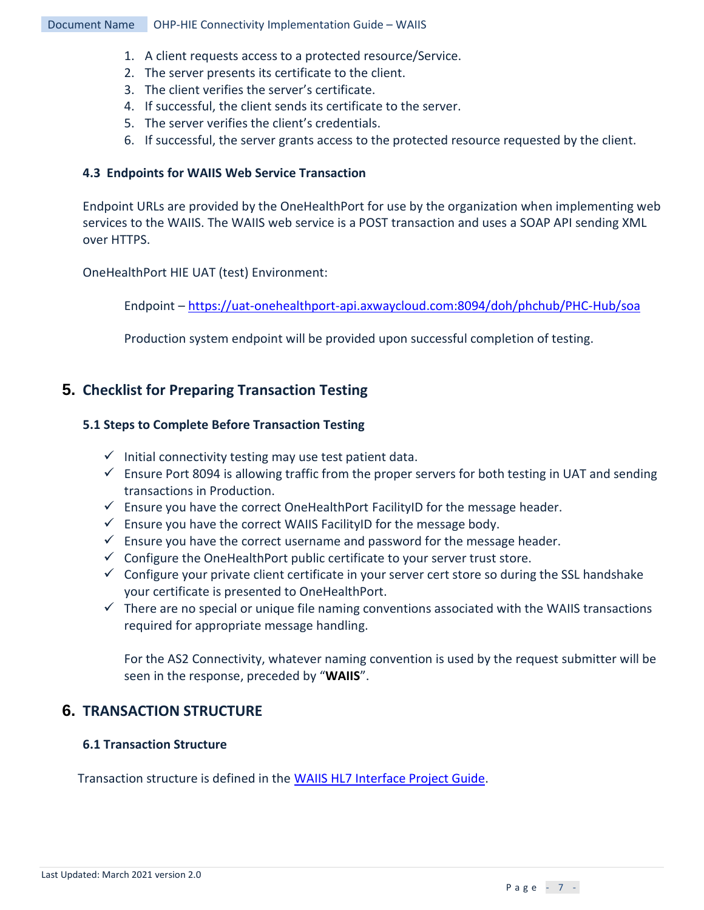#### Document Name OHP-HIE Connectivity Implementation Guide – WAIIS

- 1. A client requests access to a protected resource/Service.
- 2. The server presents its certificate to the client.
- 3. The client verifies the server's certificate.
- 4. If successful, the client sends its certificate to the server.
- 5. The server verifies the client's credentials.
- 6. If successful, the server grants access to the protected resource requested by the client.

#### **4.3 Endpoints for WAIIS Web Service Transaction**

Endpoint URLs are provided by the OneHealthPort for use by the organization when implementing web services to the WAIIS. The WAIIS web service is a POST transaction and uses a SOAP API sending XML over HTTPS.

OneHealthPort HIE UAT (test) Environment:

Endpoint – <https://uat-onehealthport-api.axwaycloud.com:8094/doh/phchub/PHC-Hub/soa>

Production system endpoint will be provided upon successful completion of testing.

## <span id="page-6-0"></span>**5. Checklist for Preparing Transaction Testing**

#### **5.1 Steps to Complete Before Transaction Testing**

- $\checkmark$  Initial connectivity testing may use test patient data.
- $\checkmark$  Ensure Port 8094 is allowing traffic from the proper servers for both testing in UAT and sending transactions in Production.
- $\checkmark$  Ensure you have the correct OneHealthPort FacilityID for the message header.
- $\checkmark$  Ensure you have the correct WAIIS FacilityID for the message body.
- $\checkmark$  Ensure you have the correct username and password for the message header.
- $\checkmark$  Configure the OneHealthPort public certificate to your server trust store.
- $\checkmark$  Configure your private client certificate in your server cert store so during the SSL handshake your certificate is presented to OneHealthPort.
- $\checkmark$  There are no special or unique file naming conventions associated with the WAIIS transactions required for appropriate message handling.

For the AS2 Connectivity, whatever naming convention is used by the request submitter will be seen in the response, preceded by "**WAIIS**".

## <span id="page-6-1"></span>**6. TRANSACTION STRUCTURE**

#### **6.1 Transaction Structure**

Transaction structure is defined in the [WAIIS HL7 Interface Project Guide.](https://www.doh.wa.gov/Portals/1/Documents/8200/348-429%20HL7%20WAIIS%20Project%20Guide%20v3.3.pdf)